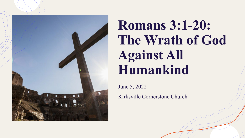

# **Romans 3:1-20: The Wrath of God Against All Humankind**

June 5, 2022 Kirksville Cornerstone Church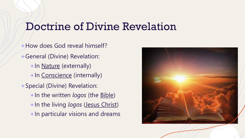#### Doctrine of Divine Revelation

+How does God reveal himself? +General (Divine) Revelation: +In Nature (externally) +In Conscience (internally) +Special (Divine) Revelation: +In the written *logos* (the Bible) +In the living *logos* (Jesus Christ) +In particular visions and dreams

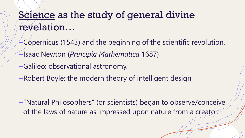#### Science as the study of general divine revelation…

- +Copernicus (1543) and the beginning of the scientific revolution.
- +Isaac Newton (*Principia Mathematica* 1687)
- +Galileo: observational astronomy.
- +Robert Boyle: the modern theory of intelligent design

+"Natural Philosophers" (or scientists) began to observe/conceive of the laws of nature as impressed upon nature from a creator.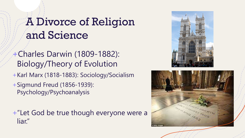# A Divorce of Religion and Science

+Charles Darwin (1809-1882): Biology/Theory of Evolution

+Karl Marx (1818-1883): Sociology/Socialism

+Sigmund Freud (1856-1939): Psychology/Psychoanalysis

+"Let God be true though everyone were a liar."



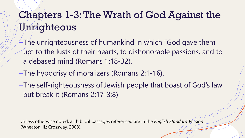## Chapters 1-3: The Wrath of God Against the Unrighteous

- $+$ The unrighteousness of humankind in which "God gave them up" to the lusts of their hearts, to dishonorable passions, and to a debased mind (Romans 1:18-32).
- +The hypocrisy of moralizers (Romans 2:1-16).
- +The self-righteousness of Jewish people that boast of God's law but break it (Romans 2:17-3:8)

Unless otherwise noted, all biblical passages referenced are in the *English Standard Version* (Wheaton, IL: Crossway, 2008).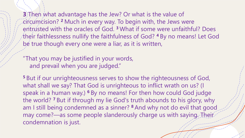**3**) Then what advantage has the Jew? Or what is the value of circumcision? **<sup>2</sup>** Much in every way. To begin with, the Jews were entrusted with the oracles of God. **<sup>3</sup>** What if some were unfaithful? Does their faithlessness nullify the faithfulness of God? **<sup>4</sup>** By no means! Let God be true though every one were a liar, as it is written,

"That you may be justified in your words, and prevail when you are judged."

**<sup>5</sup>** But if our unrighteousness serves to show the righteousness of God, what shall we say? That God is unrighteous to inflict wrath on us? (I speak in a human way.) **<sup>6</sup>** By no means! For then how could God judge the world? **<sup>7</sup>** But if through my lie God's truth abounds to his glory, why am I still being condemned as a sinner? **<sup>8</sup>** And why not do evil that good may come?—as some people slanderously charge us with saying. Their condemnation is just.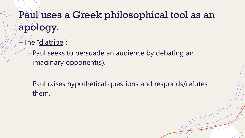## Paul uses a Greek philosophical tool as an apology.

4The "diatribe":

+Paul seeks to persuade an audience by debating an imaginary opponent(s).

+Paul raises hypothetical questions and responds/refutes them.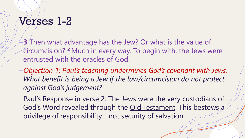## Verses 1-2

- +**3** Then what advantage has the Jew? Or what is the value of circumcision? **<sup>2</sup>** Much in every way. To begin with, the Jews were entrusted with the oracles of God.
- +*Objection 1: Paul's teaching undermines God's covenant with Jews.*  What benefit is being a Jew if the law/circumcision do not protect *against God's judgement?*
- +Paul's Response in verse 2: The Jews were the very custodians of God's Word revealed through the Old Testament. This bestows a privilege of responsibility… not security of salvation.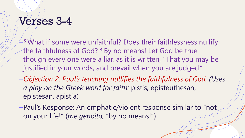#### Verses 3-4

- +**<sup>3</sup>** What if some were unfaithful? Does their faithlessness nullify the faithfulness of God? **<sup>4</sup>** By no means! Let God be true though every one were a liar, as it is written, "That you may be justified in your words, and prevail when you are judged."
- +*Objection 2: Paul's teaching nullifies the faithfulness of God. (Uses a play on the Greek word for faith:* pistis, episteuthesan, epistesan, apistia)
- +Paul's Response: An emphatic/violent response similar to "not on your life!" (*mē genoito,* "by no means!").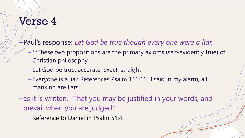## Verse 4

- +Paul's response: *Let God be true though every one were a liar,* 
	- +\*\*These two propositions are the primary axioms (self-evidently true) of Christian philosophy.
	- + Let God be true: accurate, exact, straight
	- +Everyone is a liar. References Psalm 116:11 "I said in my alarm, all mankind are liars."
- +as it is written, "That you may be justified in your words, and prevail when you are judged."
	- +Reference to Daniel in Psalm 51:4.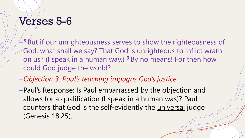#### Verses 5-6

- +**<sup>5</sup>** But if our unrighteousness serves to show the righteousness of God, what shall we say? That God is unrighteous to inflict wrath on us? (I speak in a human way.) **<sup>6</sup>** By no means! For then how could God judge the world?
- +*Objection 3: Paul's teaching impugns God's justice.*
- +Paul's Response: Is Paul embarrassed by the objection and allows for a qualification (I speak in a human was)? Paul counters that God is the self-evidently the universal judge (Genesis 18:25).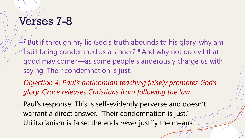#### Verses 7-8

- +**<sup>7</sup>** But if through my lie God's truth abounds to his glory, why am still being condemned as a sinner? <sup>8</sup> And why not do evil that good may come?—as some people slanderously charge us with saying. Their condemnation is just.
- +*Objection 4: Paul's antinomian teaching falsely promotes God's glory. Grace releases Christians from following the law.*
- +Paul's response: This is self-evidently perverse and doesn't warrant a direct answer. "Their condemnation is just." Utilitarianism is false: the ends *never* justify the means.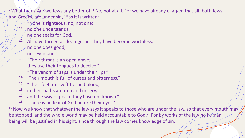<sup>9</sup> What then? Are we Jews any better off? No, not at all. For we have already charged that all, both Jews and Greeks, are under sin, <sup>10</sup> as it is written:

- 'Nóne is righteous, no, not one;
- 11 no one understands;
	- no one seeks for God.
- All have turned aside; together they have become worthless; no one does good,
	- not even one."
- **<sup>13</sup>** "Their throat is an open grave; they use their tongues to deceive." "The venom of asps is under their lips."
- **<sup>14</sup>** "Their mouth is full of curses and bitterness."
- **<sup>15</sup>** "Their feet are swift to shed blood;
- **<sup>16</sup>** in their paths are ruin and misery,
- **<sup>17</sup>** and the way of peace they have not known."
- **<sup>18</sup>** "There is no fear of God before their eyes."

<sup>19</sup> Now we know that whatever the law says it speaks to those who are under the law, so that every mouth may be stopped, and the whole world may be held accountable to God.<sup>20</sup> For by works of the law no human being will be justified in his sight, since through the law comes knowledge of sin.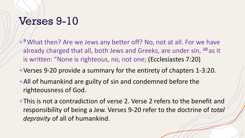#### Verses 9-10

+**<sup>9</sup>** What then? Are we Jews any better off? No, not at all. For we have already charged that all, both Jews and Greeks, are under sin, **<sup>10</sup>** as it is written: "None is righteous, no, not one; (Ecclesiastes 7:20)

- +Verses 9-20 provide a summary for the entirety of chapters 1-3:20.
- +All of humankind are guilty of sin and condemned before the righteousness of God.
- +This is not a contradiction of verse 2. Verse 2 refers to the benefit and responsibility of being a Jew. Verses 9-20 refer to the doctrine of *total depravity* of all of humankind.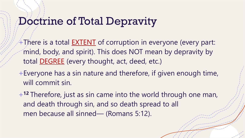#### Doctrine of Total Depravity

- $+$ There is a total  $EXTENT$  of corruption in everyone (every part: mind, body, and spirit). This does NOT mean by depravity by total DEGREE (every thought, act, deed, etc.)
- +Everyone has a sin nature and therefore, if given enough time, will commit sin.
- +**<sup>12</sup>** Therefore, just as sin came into the world through one man, and death through sin, and so death spread to all men because all sinned— (Romans 5:12).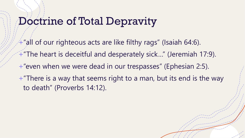#### Doctrine of Total Depravity

+"all of our righteous acts are like filthy rags" (Isaiah 64:6). +"The heart is deceitful and desperately sick…" (Jeremiah 17:9). +"even when we were dead in our trespasses" (Ephesian 2:5). +"There is a way that seems right to a man, but its end is the way to death" (Proverbs 14:12).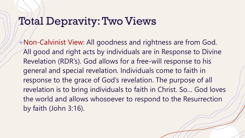#### Total Depravity: Two Views

+Non-Calvinist View: All goodness and rightness are from God. All good and right acts by individuals are in Response to Divine Revelation (RDR's). God allows for a free-will response to his general and special revelation. Individuals come to faith in response to the grace of God's revelation. The purpose of all revelation is to bring individuals to faith in Christ. So… God loves the world and allows whosoever to respond to the Resurrection by faith (John 3:16).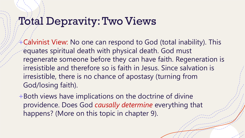#### Total Depravity: Two Views

+Calvinist View: No one can respond to God (total inability). This equates spiritual death with physical death. God must regenerate someone before they can have faith. Regeneration is irresistible and therefore so is faith in Jesus. Since salvation is irresistible, there is no chance of apostasy (turning from God/losing faith).

+Both views have implications on the doctrine of divine providence. Does God *causally determine* everything that happens? (More on this topic in chapter 9).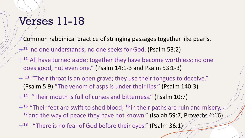#### Verses 11-18

- $+$  Common rabbinical practice of stringing passages together like pearls.
- +**<sup>11</sup>** no one understands; no one seeks for God. (Psalm 53:2)
- +**<sup>12</sup>** All have turned aside; together they have become worthless; no one does good, not even one." (Psalm 14:1-3 and Psalm 53:1-3)
- + **<sup>13</sup>** "Their throat is an open grave; they use their tongues to deceive." (Psalm 5:9) "The venom of asps is under their lips." (Psalm 140:3)
- +**<sup>14</sup>** "Their mouth is full of curses and bitterness." (Psalm 10:7)
- +**<sup>15</sup>** "Their feet are swift to shed blood; **<sup>16</sup>** in their paths are ruin and misery, <sup>17</sup> and the way of peace they have not known." (Isaiah 59:7, Proverbs 1:16)
- +**<sup>18</sup>** "There is no fear of God before their eyes." (Psalm 36:1)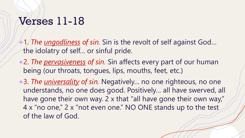#### Verses 11-18

+1. *The ungodliness of sin.* Sin is the revolt of self against God… the idolatry of self… or sinful pride.

- +2. *The pervasiveness of sin.* Sin affects every part of our human being (our throats, tongues, lips, mouths, feet, etc.)
- +3. *The universality of sin.* Negatively… no one righteous, no one understands, no one does good. Positively… all have swerved, all have gone their own way. 2 x that "all have gone their own way," 4 x "no one," 2 x "not even one." NO ONE stands up to the test of the law of God.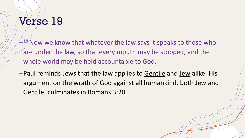# Verse 19

+**<sup>19</sup>**Now we know that whatever the law says it speaks to those who are under the law, so that every mouth may be stopped, and the whole world may be held accountable to God.

+Paul reminds Jews that the law applies to Gentile and Jew alike. His argument on the wrath of God against all humankind, both Jew and Gentile, culminates in Romans 3:20.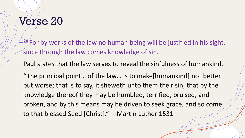# Verse 20

+**<sup>20</sup>** For by works of the law no human being will be justified in his sight, since through the law comes knowledge of sin.

+Paul states that the law serves to reveal the sinfulness of humankind.

+"The principal point… of the law… is to make[humankind] not better but worse; that is to say, it sheweth unto them their sin, that by the knowledge thereof they may be humbled, terrified, bruised, and broken, and by this means may be driven to seek grace, and so come to that blessed Seed [Christ]." --Martin Luther 1531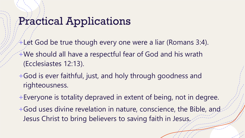#### Practical Applications

+Let God be true though every one were a liar (Romans 3:4).

- +We should all have a respectful fear of God and his wrath (Ecclesiastes 12:13).
- +God is ever faithful, just, and holy through goodness and righteousness.
- +Everyone is totality depraved in extent of being, not in degree.
- +God uses divine revelation in nature, conscience, the Bible, and Jesus Christ to bring believers to saving faith in Jesus.